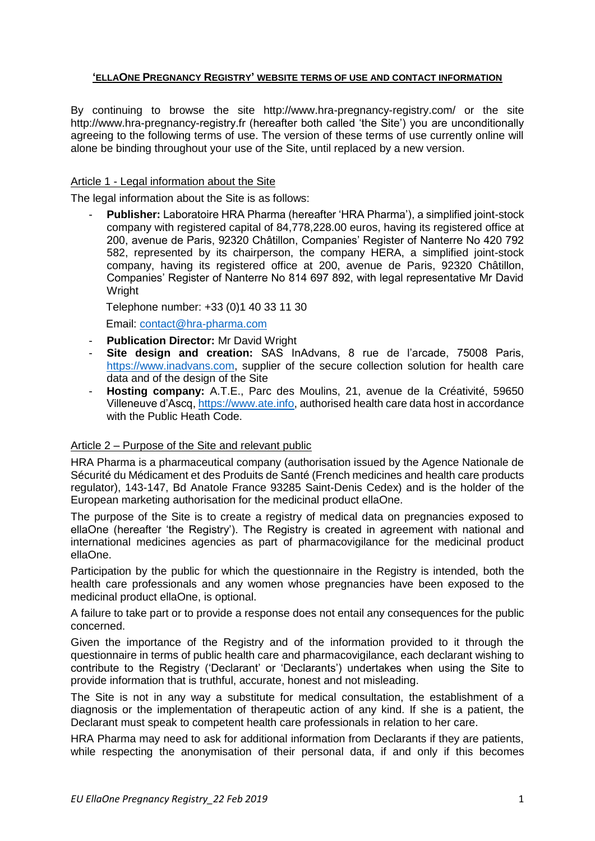# **'ELLAONE PREGNANCY REGISTRY' WEBSITE TERMS OF USE AND CONTACT INFORMATION**

By continuing to browse the site http://www.hra-pregnancy-registry.com/ or the site http://www.hra-pregnancy-registry.fr (hereafter both called 'the Site') you are unconditionally agreeing to the following terms of use. The version of these terms of use currently online will alone be binding throughout your use of the Site, until replaced by a new version.

## Article 1 - Legal information about the Site

The legal information about the Site is as follows:

- **Publisher:** Laboratoire HRA Pharma (hereafter 'HRA Pharma'), a simplified joint-stock company with registered capital of 84,778,228.00 euros, having its registered office at 200, avenue de Paris, 92320 Châtillon, Companies' Register of Nanterre No 420 792 582, represented by its chairperson, the company HERA, a simplified joint-stock company, having its registered office at 200, avenue de Paris, 92320 Châtillon, Companies' Register of Nanterre No 814 697 892, with legal representative Mr David Wright

Telephone number: +33 (0)1 40 33 11 30

Email: [contact@hra-pharma.com](mailto:contact@hra-pharma.com)

- **Publication Director:** Mr David Wright
- **Site design and creation:** SAS InAdvans, 8 rue de l'arcade, 75008 Paris, [https://www.inadvans.com,](https://www.inadvans.com/) supplier of the secure collection solution for health care data and of the design of the Site
- **Hosting company:** A.T.E., Parc des Moulins, 21, avenue de la Créativité, 59650 Villeneuve d'Ascq[, https://www.ate.info,](https://www.ate.info/) authorised health care data host in accordance with the Public Heath Code.

#### Article 2 – Purpose of the Site and relevant public

HRA Pharma is a pharmaceutical company (authorisation issued by the Agence Nationale de Sécurité du Médicament et des Produits de Santé (French medicines and health care products regulator), 143-147, Bd Anatole France 93285 Saint-Denis Cedex) and is the holder of the European marketing authorisation for the medicinal product ellaOne.

The purpose of the Site is to create a registry of medical data on pregnancies exposed to ellaOne (hereafter 'the Registry'). The Registry is created in agreement with national and international medicines agencies as part of pharmacovigilance for the medicinal product ellaOne.

Participation by the public for which the questionnaire in the Registry is intended, both the health care professionals and any women whose pregnancies have been exposed to the medicinal product ellaOne, is optional.

A failure to take part or to provide a response does not entail any consequences for the public concerned.

Given the importance of the Registry and of the information provided to it through the questionnaire in terms of public health care and pharmacovigilance, each declarant wishing to contribute to the Registry ('Declarant' or 'Declarants') undertakes when using the Site to provide information that is truthful, accurate, honest and not misleading.

The Site is not in any way a substitute for medical consultation, the establishment of a diagnosis or the implementation of therapeutic action of any kind. If she is a patient, the Declarant must speak to competent health care professionals in relation to her care.

HRA Pharma may need to ask for additional information from Declarants if they are patients, while respecting the anonymisation of their personal data, if and only if this becomes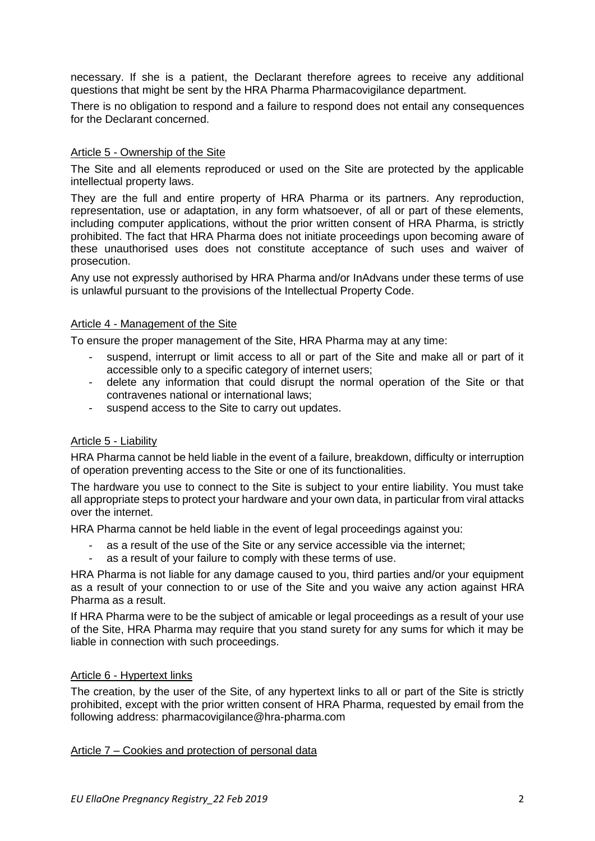necessary. If she is a patient, the Declarant therefore agrees to receive any additional questions that might be sent by the HRA Pharma Pharmacovigilance department.

There is no obligation to respond and a failure to respond does not entail any consequences for the Declarant concerned.

# Article 5 - Ownership of the Site

The Site and all elements reproduced or used on the Site are protected by the applicable intellectual property laws.

They are the full and entire property of HRA Pharma or its partners. Any reproduction, representation, use or adaptation, in any form whatsoever, of all or part of these elements, including computer applications, without the prior written consent of HRA Pharma, is strictly prohibited. The fact that HRA Pharma does not initiate proceedings upon becoming aware of these unauthorised uses does not constitute acceptance of such uses and waiver of prosecution.

Any use not expressly authorised by HRA Pharma and/or InAdvans under these terms of use is unlawful pursuant to the provisions of the Intellectual Property Code.

## Article 4 - Management of the Site

To ensure the proper management of the Site, HRA Pharma may at any time:

- suspend, interrupt or limit access to all or part of the Site and make all or part of it accessible only to a specific category of internet users;
- delete any information that could disrupt the normal operation of the Site or that contravenes national or international laws;
- suspend access to the Site to carry out updates.

#### Article 5 - Liability

HRA Pharma cannot be held liable in the event of a failure, breakdown, difficulty or interruption of operation preventing access to the Site or one of its functionalities.

The hardware you use to connect to the Site is subject to your entire liability. You must take all appropriate steps to protect your hardware and your own data, in particular from viral attacks over the internet.

HRA Pharma cannot be held liable in the event of legal proceedings against you:

- as a result of the use of the Site or any service accessible via the internet;
- as a result of your failure to comply with these terms of use.

HRA Pharma is not liable for any damage caused to you, third parties and/or your equipment as a result of your connection to or use of the Site and you waive any action against HRA Pharma as a result.

If HRA Pharma were to be the subject of amicable or legal proceedings as a result of your use of the Site, HRA Pharma may require that you stand surety for any sums for which it may be liable in connection with such proceedings.

#### Article 6 - Hypertext links

The creation, by the user of the Site, of any hypertext links to all or part of the Site is strictly prohibited, except with the prior written consent of HRA Pharma, requested by email from the following address: pharmacovigilance@hra-pharma.com

#### Article 7 – Cookies and protection of personal data